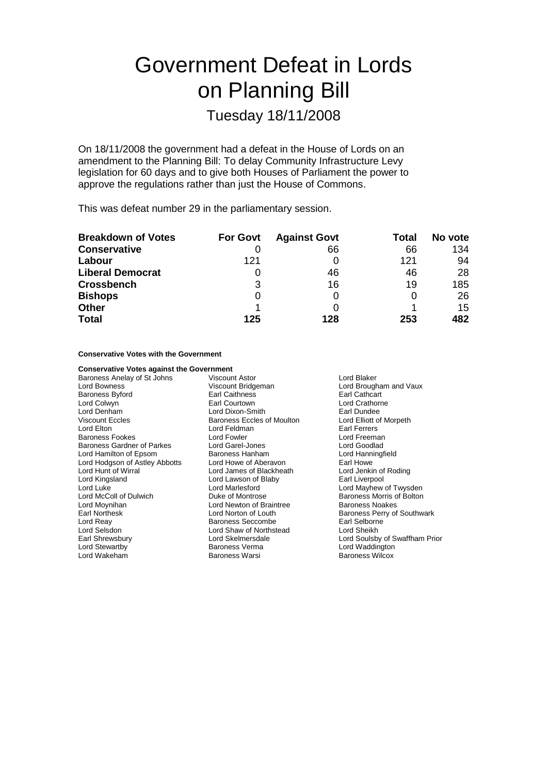# Government Defeat in Lords on Planning Bill

Tuesday 18/11/2008

On 18/11/2008 the government had a defeat in the House of Lords on an amendment to the Planning Bill: To delay Community Infrastructure Levy legislation for 60 days and to give both Houses of Parliament the power to approve the regulations rather than just the House of Commons.

This was defeat number 29 in the parliamentary session.

| <b>Breakdown of Votes</b> | <b>For Govt</b> | <b>Against Govt</b> | Total | No vote |
|---------------------------|-----------------|---------------------|-------|---------|
| <b>Conservative</b>       |                 | 66                  | 66    | 134     |
| Labour                    | 121             |                     | 121   | 94      |
| <b>Liberal Democrat</b>   |                 | 46                  | 46    | 28      |
| <b>Crossbench</b>         | 3               | 16                  | 19    | 185     |
| <b>Bishops</b>            | O               | 0                   |       | 26      |
| <b>Other</b>              |                 |                     |       | 15      |
| <b>Total</b>              | 125             | 128                 | 253   | 482     |

**Conservative Votes with the Government**

| <b>Conservative Votes against the Government</b> |                               |                                |  |
|--------------------------------------------------|-------------------------------|--------------------------------|--|
| Baroness Anelay of St Johns                      | Lord Blaker<br>Viscount Astor |                                |  |
| Lord Bowness                                     | Viscount Bridgeman            | Lord Brougham and Vaux         |  |
| <b>Baroness Byford</b>                           | <b>Earl Caithness</b>         | Earl Cathcart                  |  |
| Lord Colwyn                                      | Earl Courtown                 | Lord Crathorne                 |  |
| Lord Denham                                      | Lord Dixon-Smith              | Earl Dundee                    |  |
| <b>Viscount Eccles</b>                           | Baroness Eccles of Moulton    | Lord Elliott of Morpeth        |  |
| Lord Elton                                       | Lord Feldman                  | Earl Ferrers                   |  |
| <b>Baroness Fookes</b>                           | Lord Fowler                   | Lord Freeman                   |  |
| <b>Baroness Gardner of Parkes</b>                | Lord Garel-Jones              | Lord Goodlad                   |  |
| Lord Hamilton of Epsom                           | Baroness Hanham               | Lord Hanningfield              |  |
| Lord Hodgson of Astley Abbotts                   | Lord Howe of Aberavon         | Earl Howe                      |  |
| Lord Hunt of Wirral                              | Lord James of Blackheath      | Lord Jenkin of Roding          |  |
| Lord Kingsland                                   | Lord Lawson of Blaby          | Earl Liverpool                 |  |
| Lord Luke                                        | Lord Marlesford               | Lord Mayhew of Twysden         |  |
| Lord McColl of Dulwich                           | Duke of Montrose              | Baroness Morris of Bolton      |  |
| Lord Moynihan                                    | Lord Newton of Braintree      | <b>Baroness Noakes</b>         |  |
| Earl Northesk                                    | Lord Norton of Louth          | Baroness Perry of Southwark    |  |
| Lord Reay                                        | <b>Baroness Seccombe</b>      | Earl Selborne                  |  |
| Lord Selsdon                                     | Lord Shaw of Northstead       | Lord Sheikh                    |  |
| Earl Shrewsbury                                  | Lord Skelmersdale             | Lord Soulsby of Swaffham Prior |  |
| <b>Lord Stewartby</b>                            | Baroness Verma                | Lord Waddington                |  |
| Lord Wakeham                                     | Baroness Warsi                | <b>Baroness Wilcox</b>         |  |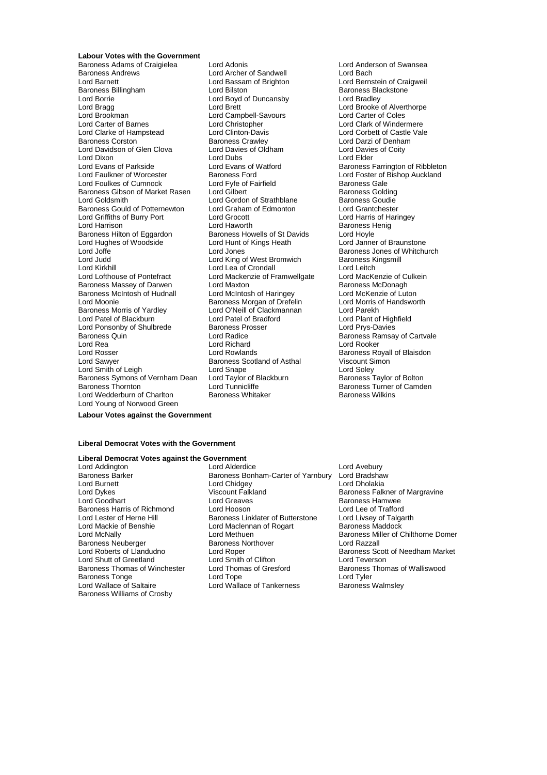**Labour Votes with the Government** Baroness Adams of Craigielea Lord Adonis<br>
Lord Anderson of Swansea<br>
Lord Archer of Sandwell
Lord Bach<br>
Lord Bach Baroness Andrews **Lord Archer of Sandwell Cord Bachamed Lord Bachamed Lord Bachamed Brighton** Lord Barnett Lord Bassam of Brighton Lord Bernstein of Craigweil Baroness Billingham **Example 2** Lord Bilston **Baroness Blackstone**<br>
Lord Borrie **Baroness Blackstone**<br>
Lord Boyd of Duncansby Lord Bradley Lord Borrie Lord Boyd of Duncansby<br>
Lord Bragg<br>
Lord Brett Lord Bragg and Lord Brett Lord Brett Lord Brooke of Alverthorpe<br>
Lord Brooke of Alverthorpe<br>
Lord Brookman Lord Campbell-Savours Lord Carter of Coles Lord Brookman Lord Campbell-Savours<br>
Lord Carter of Barnes<br>
Lord Christopher Lord Clarke of Hampstead Lord Clinton-Davis Lord Corbett of Castle Castle Corbett of Castle Corbett of Castle V<br>Baroness Corston Baroness Crawley Lord Darzi of Denham Baroness Corston **Baroness Crawley Corporation** Lord Darzi of Denham<br>
Lord Davidson of Glen Clova Lord Davies of Oldham Lord Davies of Coity Lord Davidson of Glen Clova Lord Davies of Oldham Lord Davies Cord Davies Cord Davies Cord Davies Lord Davies<br>Lord Dixon Lord Dubs Lord Elder Lord Dixon<br>
Lord Evans of Parkside<br>
Lord Evans of Parkside<br>
Lord Evans of Watford Lord Evans of Parkside Lord Evans of Watford Baroness Farrington of Ribbleton Lord Foulkes of Cumnock Lord Fyfe of Fairfield<br>
Baroness Gibson of Market Rasen Lord Gilbert Cumple Baroness Golding Baroness Gibson of Market Rasen Lord Gilbert Baroness Golding<br>
Lord Gordon of Strathblane Baroness Goudie Baroness Gould of Potternewton Lord Graham of Edmonton Lord Grantchester Lord Griffiths of Burry Port Lord Grocott<br>
Lord Harrison Lord Haworth Baroness Hilton of Eggardon Baroness Howells of St Davids Lord Hoyle<br>
Lord Hughes of Woodside Lord Hunt of Kings Heath Lord Janner of Braunstone Lord Hughes of Woodside Lord Hunt c<br>
Lord Joffe **Lord Lord Lord Lord Lord Jones** Lord Joffe Lord Jones<br>
Lord Lord King of West Bromwich<br>
Lord Judd Lord Lord King of West Bromwich Baroness Kingsmill Lord Judd Lord King of West Bromwich Baroness Kingsmill Lord Kirkhill Lord Lord Lea of Crondall Lord Lord Leitch<br>Lord Lofthouse of Pontefract Lord Mackenzie of Framwellgate Lord MacKenzie of Culkein Baroness Massey of Darwen Lord Maxton<br>Baroness McIntosh of Hudnall Lord McIntosh of Haringey Baroness McIntosh of Hudnall Lord McIntosh of Haringey Lord McKenzie of Luton<br>Lord Moonie Cord McIntosh of Handsworth Baroness Morgan of Drefelin Lord Morris of Handsworth Lord Moonie baroness Morgan of Drefelin Lord Morris of Drefelin Lord Morris of Yardley<br>Baroness Morris of Yardley barol Lord O'Neill of Clackmannan barol Lord Parekh Lord Patel of Blackburn Lord Patel of Bradford Lord Plant of High<br>
Lord Ponsonby of Shulbrede Baroness Prosser Lord Prys-Davies Lord Ponsonby of Shulbrede Baroness Prosser<br>Baroness Quin<br>Lord Radice Baroness Quin **Baroness Cuin** Lord Radice **Baroness Ramsay of Cartvale**<br>
Lord Rea **Baroness Ramsay of Cartvale**<br>
Lord Rea Lord Rosser **Lord Rowlands** Communication Baroness Royall of Blaisdon Lord Sawyer **Baroness Scotland of Asthal Simon**<br>
Lord Smape Cord Snape Lord Soley<br>
Lord Soley Lord Smith of Leigh Lord Snape Lord Soley<br>
Baroness Symons of Vernham Dean Lord Taylor of Blackburn Baroness Taylor of Bolton Baroness Symons of Vernham Dean Baroness Thornton **Baroness Thornton Constructed Tunnicliffe** Baroness Turner of Camden<br>
Lord Wedderburn of Charlton Baroness Whitaker **Baroness Wilkins** Lord Wedderburn of Charlton Lord Young of Norwood Green

Lord Christopher **Lord Clark of Windermere**<br>
Lord Clinton-Davis **Lord Corbett of Castle Vale** Lord Gordon of Strathblane Baroness Goudie<br>
Lord Graham of Edmonton Lord Grantchester Lord Haworth **Baroness Henig**<br>
Baroness Howells of St Davids **Lord Hovle** Lord Mackenzie of Framwellgate Lord MacKenzie of Culter<br>Lord Maxton **Culter Culter** Baroness McDonagh Lord O'Neill of Clackmannan Lord Parekh<br>Lord Patel of Bradford Lord Plant of Highfield Lord Richard

Baroness Ford Foster of Bishop Auckland<br>Lord Fyfe of Fairfield Foster Baroness Gale

#### **Labour Votes against the Government**

#### **Liberal Democrat Votes with the Government**

## **Liberal Democrat Votes against the Government**

Baroness Neuberger Baroness N<br>
Lord Roberts of Llandudno<br>
Lord Roberts of Llandudno Baroness Thomas of Winchester Baroness Williams of Crosby

Lord Addington **Lord Alderdice** Lord Alderdice Lord Avebury<br>Baroness Barker **Baroness Bonham-Carter of Yarnbury** Lord Bradshaw Baroness Barker Baroness Bonham-Carter of Yarnbury Lord Bradshaw<br>Lord Burnett Cord Chidgev Lord Chidgev Lord Dholakia Lord Chidgey<br>Viscount Falkland Lord Dykes **Viscount Falkland** Baroness Falkner of Margravine<br>Lord Goodhart Lord Greaves Lord Greaves Baroness Hamwee Lord Greaves **Baroness Hamwee**<br>
Lord Hooson<br>
Lord Lee of Trafford Baroness Harris of Richmond Lord Hooson Lord Lee of Trafford<br>
Lord Lester of Herne Hill Baroness Linklater of Butterstone Lord Livsey of Talgarth Lord Lester of Herne Hill Baroness Linklater of Butterstone<br>
Lord Mackie of Benshie Lord Maclennan of Rogart Lord Mackie of Benshie **Lord Maclennan of Rogart** Baroness Maddock<br>Lord McNally **Corporat Corporat Corporat Corporat Corporat Corporat Corporat Baroness Miller of C** Lord Methuen **Lord Methuen** Baroness Miller of Chilthorne Domer<br>Baroness Northover **Baroness** Lord Razzall Lord Shutt of Greetland Lord Smith of Clifton<br>
Baroness Thomas of Winchester Lord Thomas of Gresford Baroness Thomas of Walliswood Baroness Tonge Lord Tope Lord Tyler Lord Wallace of Tankerness **Baroness Walmsley** 

Lord Roberts of Llandudno Lord Roper Baroness Scott of Needham Market